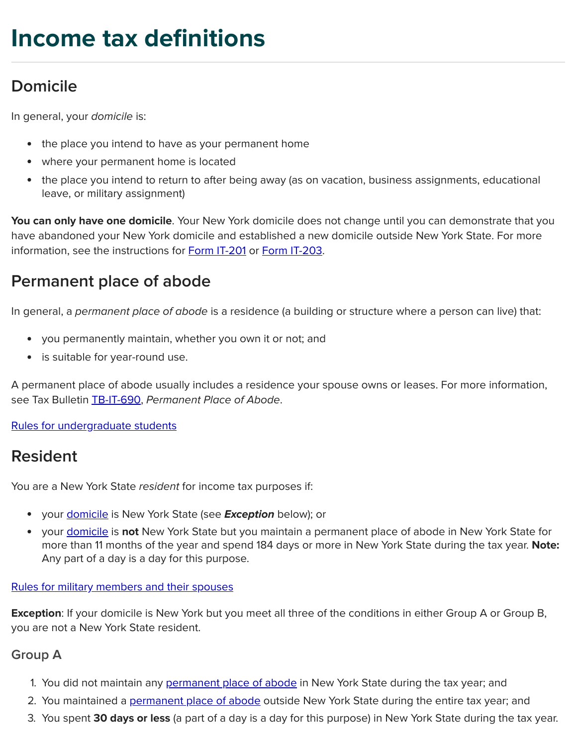# **Income tax definitions**

# <span id="page-0-0"></span>**Domicile**

In general, your domicile is:

- the place you intend to have as your permanent home
- where your permanent home is located
- the place you intend to return to after being away (as on vacation, business assignments, educational leave, or military assignment)

**You can only have one domicile**. Your New York domicile does not change until you can demonstrate that you have abandoned your New York domicile and established a new domicile outside New York State. For more information, see the instructions for Form [IT-201](https://tax.ny.gov/pdf/current_forms/it/it201i.pdf) or Form [IT-203](https://tax.ny.gov/pdf/current_forms/it/it203i.pdf).

### <span id="page-0-1"></span>**Permanent place of abode**

In general, a permanent place of abode is a residence (a building or structure where a person can live) that:

- you permanently maintain, whether you own it or not; and
- is suitable for year-round use.

A permanent place of abode usually includes a residence your spouse owns or leases. For more information, see Tax Bulletin [TB-IT-690](https://tax.ny.gov/pubs_and_bulls/tg_bulletins/pit/permanent_place_of_abode.htm), Permanent Place of Abode.

#### Rules for [undergraduate](https://tax.ny.gov/pdf/memos/income/m09_15i.pdf) students

### <span id="page-0-2"></span>**Resident**

You are a New York State resident for income tax purposes if:

- your [domicile](#page-0-0) is New York State (see **Exception** below); or
- your [domicile](#page-0-0) is **not** New York State but you maintain a permanent place of abode in New York State for more than 11 months of the year and spend 184 days or more in New York State during the tax year. **Note:** Any part of a day is a day for this purpose.

#### Rules for military [members](https://tax.ny.gov/pit/file/military_page.htm) and their spouses

**Exception**: If your domicile is New York but you meet all three of the conditions in either Group A or Group B, you are not a New York State resident.

### **Group A**

- 1. You did not maintain any [permanent](#page-0-1) place of abode in New York State during the tax year; and
- 2. You maintained a [permanent](#page-0-1) place of abode outside New York State during the entire tax year; and
- 3. You spent **30 days or less** (a part of a day is a day for this purpose) in New York State during the tax year.